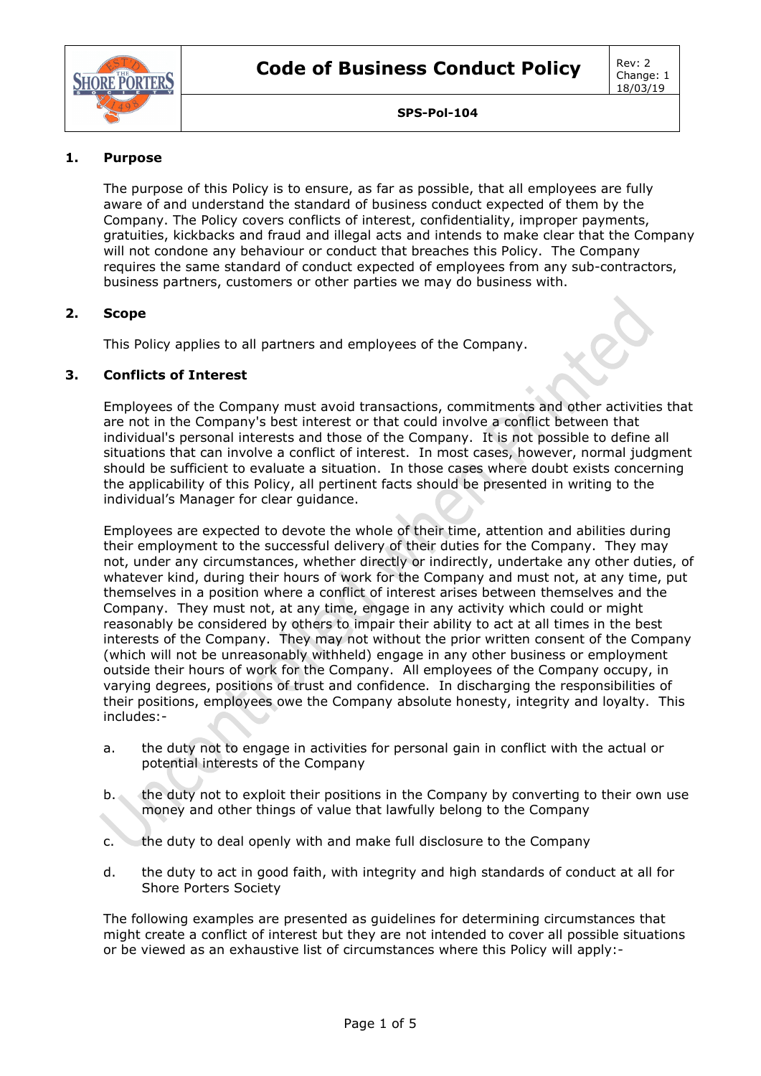

## **1. Purpose**

The purpose of this Policy is to ensure, as far as possible, that all employees are fully aware of and understand the standard of business conduct expected of them by the Company. The Policy covers conflicts of interest, confidentiality, improper payments, gratuities, kickbacks and fraud and illegal acts and intends to make clear that the Company will not condone any behaviour or conduct that breaches this Policy. The Company requires the same standard of conduct expected of employees from any sub-contractors, business partners, customers or other parties we may do business with.

### **2. Scope**

This Policy applies to all partners and employees of the Company.

### **3. Conflicts of Interest**

Employees of the Company must avoid transactions, commitments and other activities that are not in the Company's best interest or that could involve a conflict between that individual's personal interests and those of the Company. It is not possible to define all situations that can involve a conflict of interest. In most cases, however, normal judgment should be sufficient to evaluate a situation. In those cases where doubt exists concerning the applicability of this Policy, all pertinent facts should be presented in writing to the individual's Manager for clear guidance.

Employees are expected to devote the whole of their time, attention and abilities during their employment to the successful delivery of their duties for the Company. They may not, under any circumstances, whether directly or indirectly, undertake any other duties, of whatever kind, during their hours of work for the Company and must not, at any time, put themselves in a position where a conflict of interest arises between themselves and the Company. They must not, at any time, engage in any activity which could or might reasonably be considered by others to impair their ability to act at all times in the best interests of the Company. They may not without the prior written consent of the Company (which will not be unreasonably withheld) engage in any other business or employment outside their hours of work for the Company. All employees of the Company occupy, in varying degrees, positions of trust and confidence. In discharging the responsibilities of their positions, employees owe the Company absolute honesty, integrity and loyalty. This includes:-

- a. the duty not to engage in activities for personal gain in conflict with the actual or potential interests of the Company
- b. the duty not to exploit their positions in the Company by converting to their own use money and other things of value that lawfully belong to the Company
- c. the duty to deal openly with and make full disclosure to the Company
- d. the duty to act in good faith, with integrity and high standards of conduct at all for Shore Porters Society

The following examples are presented as guidelines for determining circumstances that might create a conflict of interest but they are not intended to cover all possible situations or be viewed as an exhaustive list of circumstances where this Policy will apply:-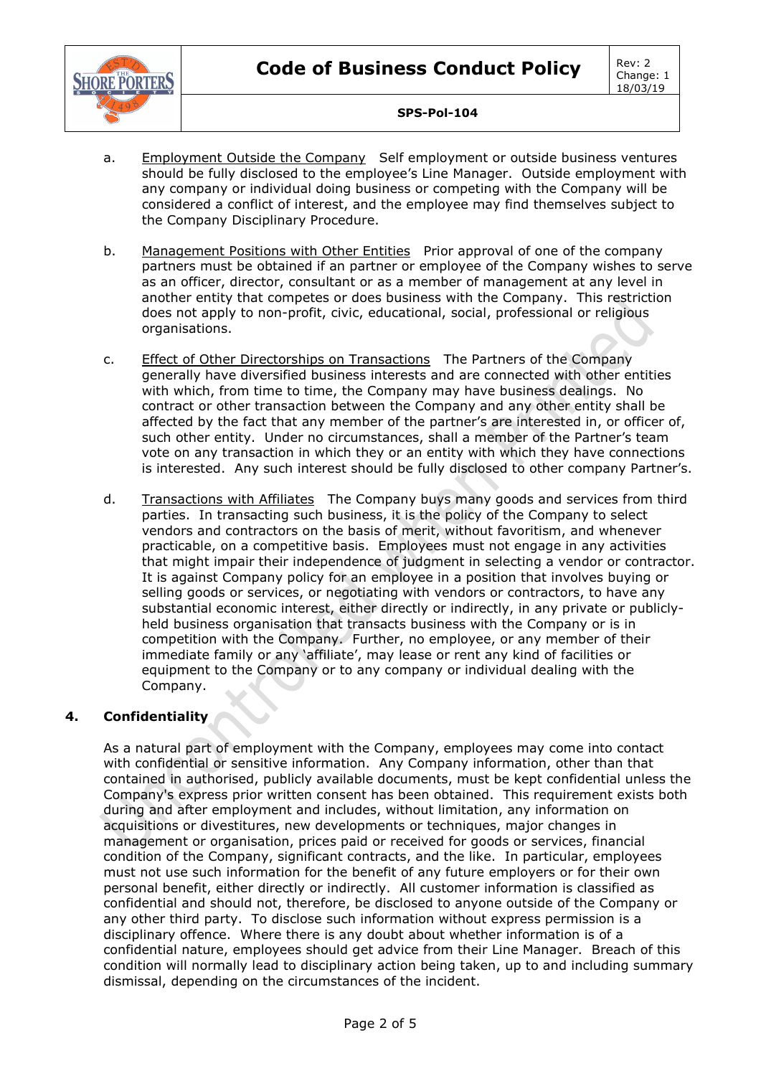

- a. Employment Outside the Company Self employment or outside business ventures should be fully disclosed to the employee's Line Manager. Outside employment with any company or individual doing business or competing with the Company will be considered a conflict of interest, and the employee may find themselves subject to the Company Disciplinary Procedure.
- b. Management Positions with Other Entities Prior approval of one of the company partners must be obtained if an partner or employee of the Company wishes to serve as an officer, director, consultant or as a member of management at any level in another entity that competes or does business with the Company. This restriction does not apply to non-profit, civic, educational, social, professional or religious organisations.
- c. Effect of Other Directorships on Transactions The Partners of the Company generally have diversified business interests and are connected with other entities with which, from time to time, the Company may have business dealings. No contract or other transaction between the Company and any other entity shall be affected by the fact that any member of the partner's are interested in, or officer of, such other entity. Under no circumstances, shall a member of the Partner's team vote on any transaction in which they or an entity with which they have connections is interested. Any such interest should be fully disclosed to other company Partner's.
- d. Transactions with Affiliates The Company buys many goods and services from third parties. In transacting such business, it is the policy of the Company to select vendors and contractors on the basis of merit, without favoritism, and whenever practicable, on a competitive basis. Employees must not engage in any activities that might impair their independence of judgment in selecting a vendor or contractor. It is against Company policy for an employee in a position that involves buying or selling goods or services, or negotiating with vendors or contractors, to have any substantial economic interest, either directly or indirectly, in any private or publiclyheld business organisation that transacts business with the Company or is in competition with the Company. Further, no employee, or any member of their immediate family or any 'affiliate', may lease or rent any kind of facilities or equipment to the Company or to any company or individual dealing with the Company.

### **4. Confidentiality**

As a natural part of employment with the Company, employees may come into contact with confidential or sensitive information. Any Company information, other than that contained in authorised, publicly available documents, must be kept confidential unless the Company's express prior written consent has been obtained. This requirement exists both during and after employment and includes, without limitation, any information on acquisitions or divestitures, new developments or techniques, major changes in management or organisation, prices paid or received for goods or services, financial condition of the Company, significant contracts, and the like. In particular, employees must not use such information for the benefit of any future employers or for their own personal benefit, either directly or indirectly. All customer information is classified as confidential and should not, therefore, be disclosed to anyone outside of the Company or any other third party. To disclose such information without express permission is a disciplinary offence. Where there is any doubt about whether information is of a confidential nature, employees should get advice from their Line Manager. Breach of this condition will normally lead to disciplinary action being taken, up to and including summary dismissal, depending on the circumstances of the incident.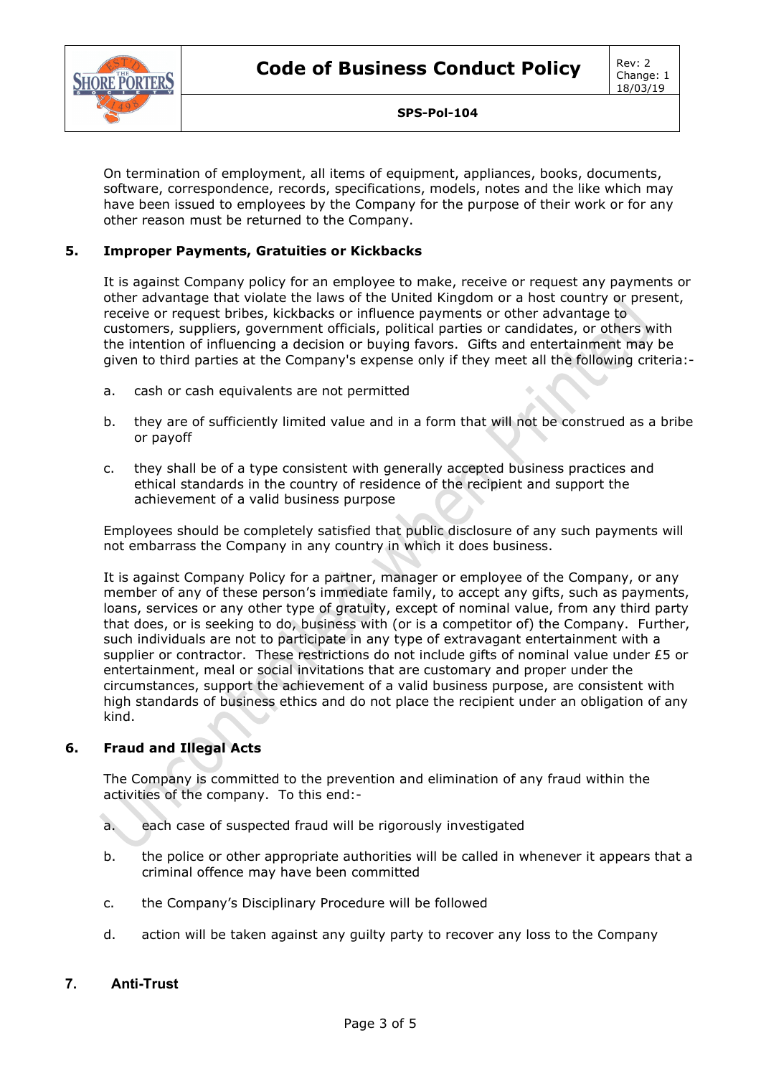

On termination of employment, all items of equipment, appliances, books, documents, software, correspondence, records, specifications, models, notes and the like which may have been issued to employees by the Company for the purpose of their work or for any other reason must be returned to the Company.

### **5. Improper Payments, Gratuities or Kickbacks**

It is against Company policy for an employee to make, receive or request any payments or other advantage that violate the laws of the United Kingdom or a host country or present, receive or request bribes, kickbacks or influence payments or other advantage to customers, suppliers, government officials, political parties or candidates, or others with the intention of influencing a decision or buying favors. Gifts and entertainment may be given to third parties at the Company's expense only if they meet all the following criteria:-

- a. cash or cash equivalents are not permitted
- b. they are of sufficiently limited value and in a form that will not be construed as a bribe or payoff
- c. they shall be of a type consistent with generally accepted business practices and ethical standards in the country of residence of the recipient and support the achievement of a valid business purpose

Employees should be completely satisfied that public disclosure of any such payments will not embarrass the Company in any country in which it does business.

It is against Company Policy for a partner, manager or employee of the Company, or any member of any of these person's immediate family, to accept any gifts, such as payments, loans, services or any other type of gratuity, except of nominal value, from any third party that does, or is seeking to do, business with (or is a competitor of) the Company. Further, such individuals are not to participate in any type of extravagant entertainment with a supplier or contractor. These restrictions do not include gifts of nominal value under £5 or entertainment, meal or social invitations that are customary and proper under the circumstances, support the achievement of a valid business purpose, are consistent with high standards of business ethics and do not place the recipient under an obligation of any kind.

### **6. Fraud and Illegal Acts**

The Company is committed to the prevention and elimination of any fraud within the activities of the company. To this end:-

- a. each case of suspected fraud will be rigorously investigated
- b. the police or other appropriate authorities will be called in whenever it appears that a criminal offence may have been committed
- c. the Company's Disciplinary Procedure will be followed
- d. action will be taken against any guilty party to recover any loss to the Company

### **7. Anti-Trust**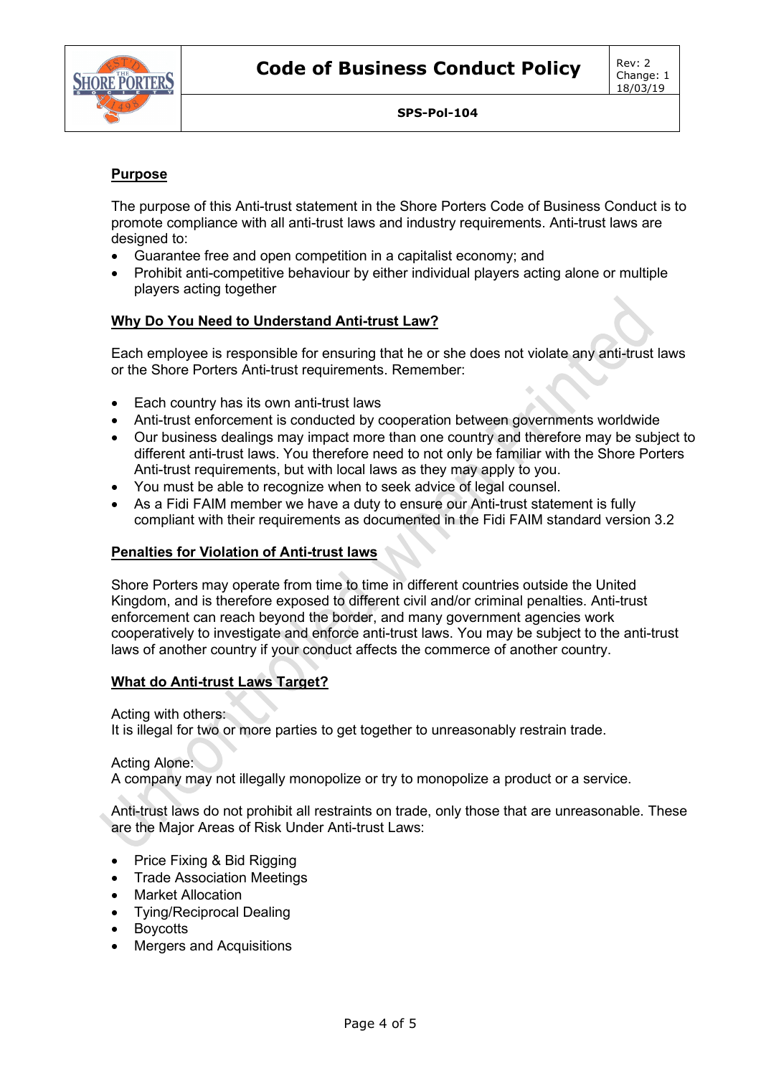

# **Purpose**

The purpose of this Anti-trust statement in the Shore Porters Code of Business Conduct is to promote compliance with all anti-trust laws and industry requirements. Anti-trust laws are designed to:

- Guarantee free and open competition in a capitalist economy; and
- Prohibit anti-competitive behaviour by either individual players acting alone or multiple players acting together

# **Why Do You Need to Understand Anti-trust Law?**

Each employee is responsible for ensuring that he or she does not violate any anti-trust laws or the Shore Porters Anti-trust requirements. Remember:

- Each country has its own anti-trust laws
- Anti-trust enforcement is conducted by cooperation between governments worldwide
- Our business dealings may impact more than one country and therefore may be subject to different anti-trust laws. You therefore need to not only be familiar with the Shore Porters Anti-trust requirements, but with local laws as they may apply to you.
- You must be able to recognize when to seek advice of legal counsel.
- As a Fidi FAIM member we have a duty to ensure our Anti-trust statement is fully compliant with their requirements as documented in the Fidi FAIM standard version 3.2

### **Penalties for Violation of Anti-trust laws**

Shore Porters may operate from time to time in different countries outside the United Kingdom, and is therefore exposed to different civil and/or criminal penalties. Anti-trust enforcement can reach beyond the border, and many government agencies work cooperatively to investigate and enforce anti-trust laws. You may be subject to the anti-trust laws of another country if your conduct affects the commerce of another country.

### **What do Anti-trust Laws Target?**

Acting with others:

It is illegal for two or more parties to get together to unreasonably restrain trade.

### Acting Alone:

A company may not illegally monopolize or try to monopolize a product or a service.

Anti-trust laws do not prohibit all restraints on trade, only those that are unreasonable. These are the Major Areas of Risk Under Anti-trust Laws:

- Price Fixing & Bid Rigging
- Trade Association Meetings
- Market Allocation
- Tying/Reciprocal Dealing
- Boycotts
- Mergers and Acquisitions